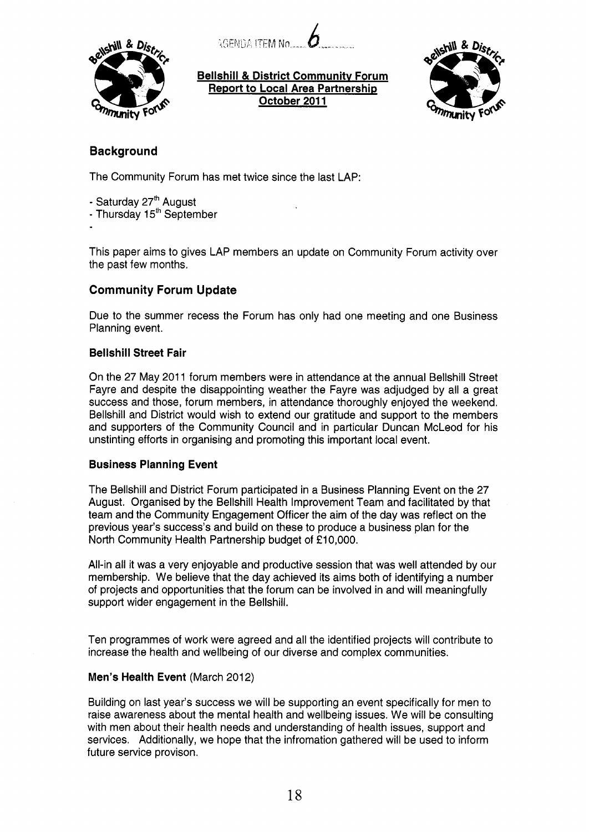$AGENDA$  ITEM No.



**Bellshill** & **District Communitv Forum Report to Local Area Partnership October 201 1** 



# **Background**

The Community Forum has met twice since the last LAP:

- Saturday 27'h August

- Thursday 1 **5th** September

This paper aims to gives LAP members an update on Community Forum activity over the past few months.

# **Community Forum Update**

Due to the summer recess the Forum has only had one meeting and one Business Planning event.

# **Bellshill Street Fair**

On the 27 May 2011 forum members were in attendance at the annual Bellshill Street Fayre and despite the disappointing weather the Fayre was adjudged by all a great success and those, forum members, in attendance thoroughly enjoyed the weekend. Bellshill and District would wish to extend our gratitude and support to the members and supporters of the Community Council and in particular Duncan McLeod for his unstinting efforts in organising and promoting this important local event.

# **Business Planning Event**

The Bellshill and District Forum participated in a Business Planning Event on the 27 August. Organised by the Bellshill Health Improvement Team and facilitated by that team and the Community Engagement Officer the aim of the day was reflect on the previous year's success's and build on these to produce a business plan for the North Community Health Partnership budget of **f** 10,000.

All-in all it was a very enjoyable and productive session that was well attended by our membership. We believe that the day achieved its aims both of identifying a number of projects and opportunities that the forum can be involved in and will meaningfully support wider engagement in the Bellshill.

Ten programmes of work were agreed and all the identified projects will contribute to increase the health and wellbeing of our diverse and complex communities.

# **Men's Health Event (March 2012)**

Building on last year's success we will be supporting an event specifically for men to raise awareness about the mental health and wellbeing issues. We will be consulting with men about their health needs and understanding of health issues, support and services. Additionally, we hope that the infromation gathered will be used to inform future service provison.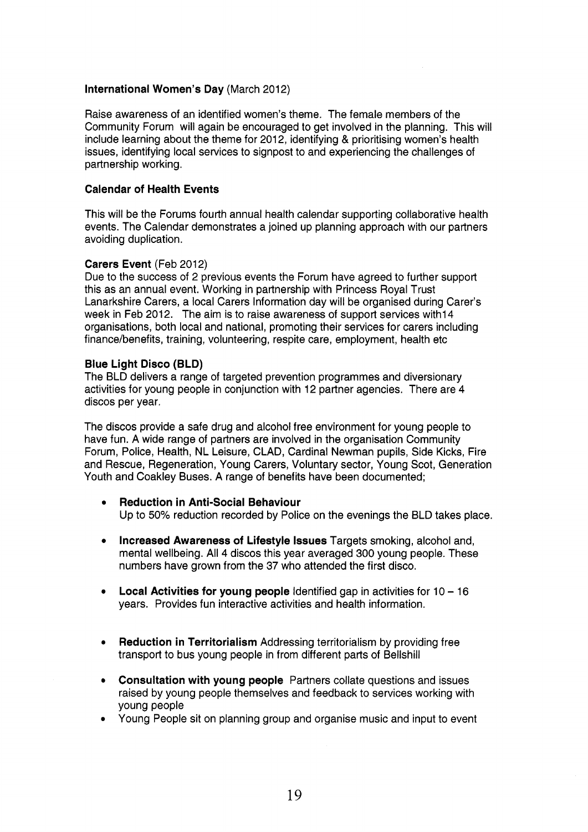### **International Women's Day (March 2012)**

Raise awareness of an identified women's theme. The female members of the Community Forum will again be encouraged to get involved in the planning. This will include learning about the theme for 2012, identifying & prioritising women's health issues, identifying local services to signpost to and experiencing the challenges of partnership working.

# **Calendar of Health Events**

This will be the Forums fourth annual health calendar supporting collaborative health events. The Calendar demonstrates a joined up planning approach with our partners avoiding duplication.

### **Carers Event (Feb 2012)**

Due to the success of 2 previous events the Forum have agreed to further support this as an annual event. Working in partnership with Princess Royal Trust Lanarkshire Carers, a local Carers Information day will be organised during Carer's week in Feb 2012. The aim is to raise awareness of support services with 14 organisations, both local and national, promoting their services for carers including finance/benefits, training, volunteering, respite care, employment, health etc

# **Blue Light Disco (BLD)**

The BLD delivers a range of targeted prevention programmes and diversionary activities for young people in conjunction with 12 partner agencies. There are 4 discos per year.

The discos provide a safe drug and alcohol free environment for young people to have fun. A wide range of partners are involved in the organisation Community Forum, Police, Health, NL Leisure, CLAD, Cardinal Newman pupils, Side Kicks, Fire and Rescue, Regeneration, Young Carers, Voluntary sector, Young Scot, Generation Youth and Coakley Buses. A range of benefits have been documented;

- **Reduction in Anti-Social Behaviour**   $\bullet$ Up to 50% reduction recorded by Police on the evenings the BLD takes place.
- **Increased Awareness of Lifestyle Issues** Targets smoking, alcohol and, mental wellbeing. All 4 discos this year averaged 300 young people. These numbers have grown from the 37 who attended the first disco.
- **Local Activities for young people** Identified gap in activities for 10 16 years. Provides fun interactive activities and health information.
- **Reduction in Territorialism** Addressing territorialism by providing free transport to bus young people in from different parts of Bellshill
- **Consultation with young people** Partners collate questions and issues raised by young people themselves and feedback to services working with young people
- Young People sit on planning group and organise music and input to event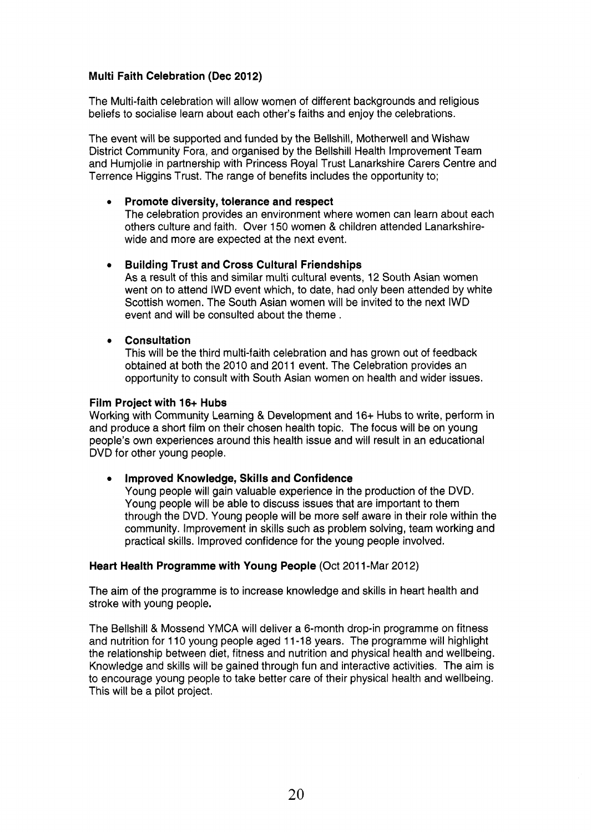# **Multi Faith Celebration (Dec 2012)**

The Multi-faith celebration will allow women of different backgrounds and religious beliefs to socialise learn about each other's faiths and enjoy the celebrations.

The event will be supported and funded by the Bellshill, Motherwell and Wishaw District Community Fora, and organised by the Bellshill Health Improvement Team and Humjolie in partnership with Princess Royal Trust Lanarkshire Carers Centre and Terrence Higgins Trust. The range of benefits includes the opportunity to;

### *0* **Promote diversity, tolerance and respect**

The celebration provides an environment where women can learn about each others culture and faith. Over 150 women & children attended Lanarkshirewide and more are expected at the next event.

#### **Building Trust and Cross Cultural Friendships**   $\bullet$

As a result of this and similar multi cultural events, 12 South Asian women went on to attend IWD event which, to date, had only been attended by white Scottish women. The South Asian women will be invited to the next IWD event and will be consulted about the theme.

### *0* **Consultation**

This will be the third multi-faith celebration and has grown out of feedback obtained at both the 2010 and 2011 event. The Celebration provides an opportunity to consult with South Asian women on health and wider issues.

#### **Film Project with 16+ Hubs**

Working with Community Learning & Development and 16+ Hubs to write, perform in and produce a short film on their chosen health topic. The focus will be on young people's own experiences around this health issue and will result in an educational DVD for other young people.

# **Improved Knowledge, Skills and Confidence**

Young people will gain valuable experience in the production of the DVD. Young people will be able to discuss issues that are important to them through the DVD. Young people will be more self aware in their role within the community. Improvement in skills such as problem solving, team working and practical skills. Improved confidence for the young people involved.

#### **Heart Health Programme with Young People (Oct 2011-Mar 2012)**

The aim of the programme is to increase knowledge and skills in heart health and stroke with young people.

The Bellshill & Mossend YMCA will deliver a 6-month drop-in programme on fitness and nutrition for 1 10 young people aged 1 1-1 8 years. The programme will highlight the relationship between diet, fitness and nutrition and physical health and wellbeing. Knowledge and skills will be gained through fun and interactive activities. The aim is to encourage young people to take better care of their physical health and wellbeing. This will be a pilot project.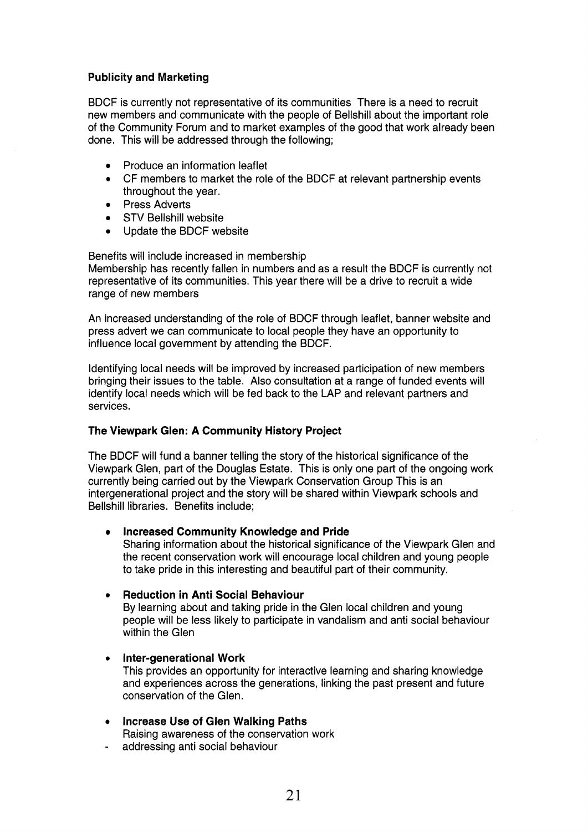# **Publicity and Marketing**

BDCF is currently not representative of its communities There is a need to recruit new members and communicate with the people of Bellshill about the important role of the Community Forum and to market examples of the good that work already been done. This will be addressed through the following;

- Produce an information leaflet
- *0* CF members to market the role of the BDCF at relevant partnership events throughout the year.
- Press Adverts
- STV Bellshill website
- Update the BDCF website

Benefits will include increased in membership Membership has recently fallen in numbers and as a result the BDCF is currently not representative of its communities. This year there will be a drive to recruit a wide range of new members

An increased understanding of the role of BDCF through leaflet, banner website and press advert we can communicate to local people they have an opportunity to influence local government by attending the BDCF.

Identifying local needs will be improved by increased participation of new members bringing their issues to the table. Also consultation at a range of funded events will identify local needs which will be fed back to the LAP and relevant partners and services.

# **The Viewpark Glen: A Community History Project**

The BDCF will fund a banner telling the story of the historical significance of the Viewpark Glen, part of the Douglas Estate. This is only one part of the ongoing work currently being carried out by the Viewpark Conservation Group This is an intergenerational project and the story will be shared within Viewpark schools and Bellshill libraries. Benefits include;

#### **Increased Community Knowledge and Pride**   $\bullet$

Sharing information about the historical significance of the Viewpark Glen and the recent conservation work will encourage local children and young people to take pride in this interesting and beautiful part of their community.

# *<sup>0</sup>***Reduction in Anti Social Behaviour**

By learning about and taking pride in the Glen local children and young people will be less likely to participate in vandalism and anti social behaviour within the Glen

# *<sup>0</sup>***Inter-generational Work**

This provides an opportunity for interactive learning and sharing knowledge and experiences across the generations, linking the past present and future conservation of the Glen.

*<sup>0</sup>***Increase Use** *of* **Glen Walking Paths** 

Raising awareness of the conservation work

addressing anti social behaviour